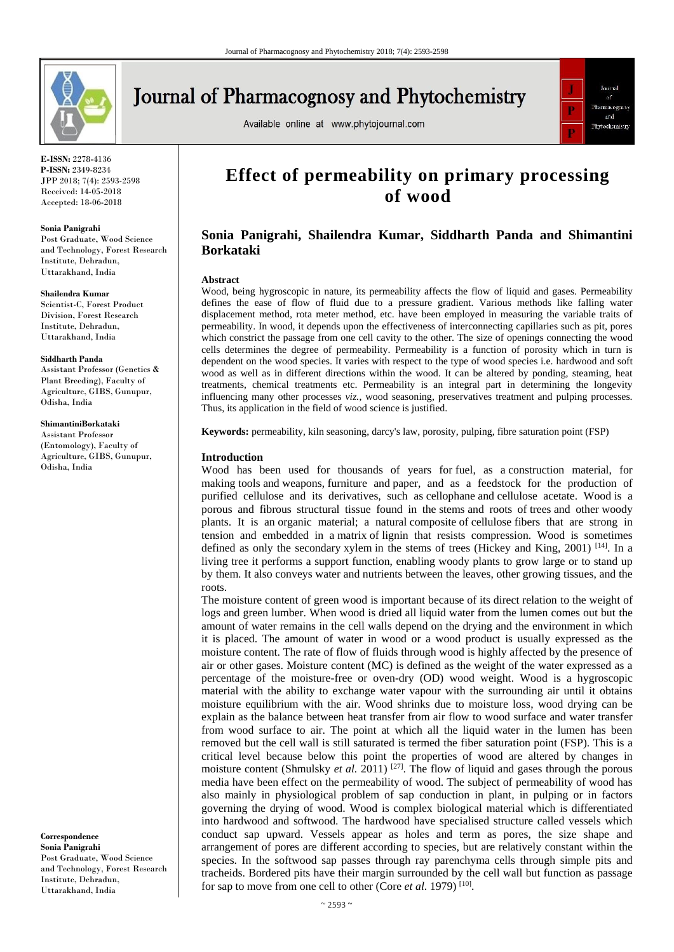

# **Journal of Pharmacognosy and Phytochemistry**

Available online at www.phytojournal.com



**E-ISSN:** 2278-4136 **P-ISSN:** 2349-8234 JPP 2018; 7(4): 2593-2598 Received: 14-05-2018 Accepted: 18-06-2018

#### **Sonia Panigrahi**

Post Graduate, Wood Science and Technology, Forest Research Institute, Dehradun, Uttarakhand, India

#### **Shailendra Kumar**

Scientist-C, Forest Product Division, Forest Research Institute, Dehradun, Uttarakhand, India

#### **Siddharth Panda**

Assistant Professor (Genetics & Plant Breeding), Faculty of Agriculture, GIBS, Gunupur, Odisha, India

#### **ShimantiniBorkataki**

Assistant Professor (Entomology), Faculty of Agriculture, GIBS, Gunupur, Odisha, India

**Correspondence Sonia Panigrahi** Post Graduate, Wood Science and Technology, Forest Research Institute, Dehradun, Uttarakhand, India

# **Effect of permeability on primary processing of wood**

# **Sonia Panigrahi, Shailendra Kumar, Siddharth Panda and Shimantini Borkataki**

#### **Abstract**

Wood, being hygroscopic in nature, its permeability affects the flow of liquid and gases. Permeability defines the ease of flow of fluid due to a pressure gradient. Various methods like falling water displacement method, rota meter method, etc. have been employed in measuring the variable traits of permeability. In wood, it depends upon the effectiveness of interconnecting capillaries such as pit, pores which constrict the passage from one cell cavity to the other. The size of openings connecting the wood cells determines the degree of permeability. Permeability is a function of porosity which in turn is dependent on the wood species. It varies with respect to the type of wood species i.e. hardwood and soft wood as well as in different directions within the wood. It can be altered by ponding, steaming, heat treatments, chemical treatments etc. Permeability is an integral part in determining the longevity influencing many other processes *viz.*, wood seasoning, preservatives treatment and pulping processes. Thus, its application in the field of wood science is justified.

**Keywords:** permeability, kiln seasoning, darcy's law, porosity, pulping, fibre saturation point (FSP)

#### **Introduction**

Wood has been used for thousands of years for fuel, as a construction material, for making tools and weapons, furniture and paper, and as a feedstock for the production of purified cellulose and its derivatives, such as cellophane and cellulose acetate. Wood is a porous and fibrous structural tissue found in the stems and roots of trees and other woody plants. It is an organic material; a natural composite of cellulose fibers that are strong in tension and embedded in a matrix of lignin that resists compression. Wood is sometimes defined as only the secondary xylem in the stems of trees (Hickey and King, 2001)<sup>[14]</sup>. In a living tree it performs a support function, enabling woody plants to grow large or to stand up by them. It also conveys water and nutrients between the leaves, other growing tissues, and the roots.

The moisture content of green wood is important because of its direct relation to the weight of logs and green lumber. When wood is dried all liquid water from the lumen comes out but the amount of water remains in the cell walls depend on the drying and the environment in which it is placed. The amount of water in wood or a wood product is usually expressed as the moisture content. The rate of flow of fluids through wood is highly affected by the presence of air or other gases. Moisture content (MC) is defined as the weight of the water expressed as a percentage of the moisture-free or oven-dry (OD) wood weight. Wood is a hygroscopic material with the ability to exchange water vapour with the surrounding air until it obtains moisture equilibrium with the air. Wood shrinks due to moisture loss, wood drying can be explain as the balance between heat transfer from air flow to wood surface and water transfer from wood surface to air. The point at which all the liquid water in the lumen has been removed but the cell wall is still saturated is termed the fiber saturation point (FSP). This is a critical level because below this point the properties of wood are altered by changes in moisture content (Shmulsky *et al.* 2011)<sup>[27]</sup>. The flow of liquid and gases through the porous media have been effect on the permeability of wood. The subject of permeability of wood has also mainly in physiological problem of sap conduction in plant, in pulping or in factors governing the drying of wood. Wood is complex biological material which is differentiated into hardwood and softwood. The hardwood have specialised structure called vessels which conduct sap upward. Vessels appear as holes and term as pores, the size shape and arrangement of pores are different according to species, but are relatively constant within the species. In the softwood sap passes through ray parenchyma cells through simple pits and tracheids. Bordered pits have their margin surrounded by the cell wall but function as passage for sap to move from one cell to other (Core *et al.* 1979)<sup>[10]</sup>.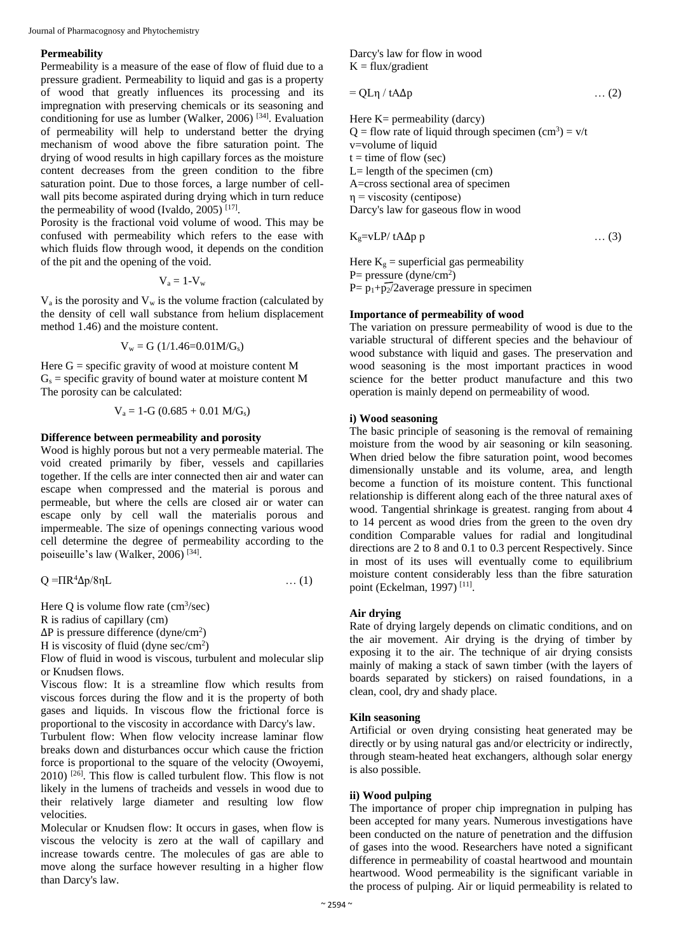Journal of Pharmacognosy and Phytochemistry

# **Permeability**

Permeability is a measure of the ease of flow of fluid due to a pressure gradient. Permeability to liquid and gas is a property of wood that greatly influences its processing and its impregnation with preserving chemicals or its seasoning and conditioning for use as lumber (Walker, 2006)  $[34]$ . Evaluation of permeability will help to understand better the drying mechanism of wood above the fibre saturation point. The drying of wood results in high capillary forces as the moisture content decreases from the green condition to the fibre saturation point. Due to those forces, a large number of cellwall pits become aspirated during drying which in turn reduce the permeability of wood (Ivaldo, 2005)<sup>[17]</sup>.

Porosity is the fractional void volume of wood. This may be confused with permeability which refers to the ease with which fluids flow through wood, it depends on the condition of the pit and the opening of the void.

$$
\mathbf{V}_a = 1\text{-}\mathbf{V}_w
$$

 $V_a$  is the porosity and  $V_w$  is the volume fraction (calculated by the density of cell wall substance from helium displacement method 1.46) and the moisture content.

$$
V_w = G (1/1.46 = 0.01 M/G_s)
$$

Here  $G =$  specific gravity of wood at moisture content M  $G_s$  = specific gravity of bound water at moisture content M The porosity can be calculated:

$$
V_a = 1-G (0.685 + 0.01 M/G_s)
$$

# **Difference between permeability and porosity**

Wood is highly porous but not a very permeable material. The void created primarily by fiber, vessels and capillaries together. If the cells are inter connected then air and water can escape when compressed and the material is porous and permeable, but where the cells are closed air or water can escape only by cell wall the materialis porous and impermeable. The size of openings connecting various wood cell determine the degree of permeability according to the poiseuille's law (Walker, 2006)<sup>[34]</sup>.

$$
Q = \Pi R^4 \Delta p / 8 \eta L \tag{1}
$$

Here Q is volume flow rate  $(cm<sup>3</sup>/sec)$ 

R is radius of capillary (cm)

 $\Delta P$  is pressure difference (dyne/cm<sup>2</sup>)

H is viscosity of fluid (dyne sec/cm<sup>2</sup>)

Flow of fluid in wood is viscous, turbulent and molecular slip or Knudsen flows.

Viscous flow: It is a streamline flow which results from viscous forces during the flow and it is the property of both gases and liquids. In viscous flow the frictional force is proportional to the viscosity in accordance with Darcy's law.

Turbulent flow: When flow velocity increase laminar flow breaks down and disturbances occur which cause the friction force is proportional to the square of the velocity (Owoyemi, 2010) [26] . This flow is called turbulent flow. This flow is not likely in the lumens of tracheids and vessels in wood due to their relatively large diameter and resulting low flow velocities.

Molecular or Knudsen flow: It occurs in gases, when flow is viscous the velocity is zero at the wall of capillary and increase towards centre. The molecules of gas are able to move along the surface however resulting in a higher flow than Darcy's law.

Darcy's law for flow in wood  $K = flux/gradient$ 

$$
= QL\eta / tA\Delta p \qquad \qquad \dots (2)
$$

Here  $K=$  permeability (darcy)  $Q =$  flow rate of liquid through specimen  $(cm^3) = v/t$ v=volume of liquid  $t =$  time of flow (sec)  $L=$  length of the specimen (cm) A=cross sectional area of specimen  $\eta$  = viscosity (centipose) Darcy's law for gaseous flow in wood

$$
K_g = vLP / tA\Delta p p \tag{3}
$$

Here  $K_g$  = superficial gas permeability  $P=$  pressure (dyne/cm<sup>2</sup>)  $P = p_1+p_2/2$ average pressure in specimen

# **Importance of permeability of wood**

The variation on pressure permeability of wood is due to the variable structural of different species and the behaviour of wood substance with liquid and gases. The preservation and wood seasoning is the most important practices in wood science for the better product manufacture and this two operation is mainly depend on permeability of wood.

# **i) Wood seasoning**

The basic principle of seasoning is the removal of remaining moisture from the wood by air seasoning or kiln seasoning. When dried below the fibre saturation point, wood becomes dimensionally unstable and its volume, area, and length become a function of its moisture content. This functional relationship is different along each of the three natural axes of wood. Tangential shrinkage is greatest. ranging from about 4 to 14 percent as wood dries from the green to the oven dry condition Comparable values for radial and longitudinal directions are 2 to 8 and 0.1 to 0.3 percent Respectively. Since in most of its uses will eventually come to equilibrium moisture content considerably less than the fibre saturation point (Eckelman, 1997)<sup>[11]</sup>.

# **Air drying**

Rate of drying largely depends on climatic conditions, and on the air movement. Air drying is the drying of timber by exposing it to the air. The technique of air drying consists mainly of making a stack of sawn timber (with the layers of boards separated by stickers) on raised foundations, in a clean, cool, dry and shady place.

# **Kiln seasoning**

Artificial or oven drying consisting heat generated may be directly or by using natural gas and/or electricity or indirectly, through steam-heated heat exchangers, although solar energy is also possible.

# **ii) Wood pulping**

The importance of proper chip impregnation in pulping has been accepted for many years. Numerous investigations have been conducted on the nature of penetration and the diffusion of gases into the wood. Researchers have noted a significant difference in permeability of coastal heartwood and mountain heartwood. Wood permeability is the significant variable in the process of pulping. Air or liquid permeability is related to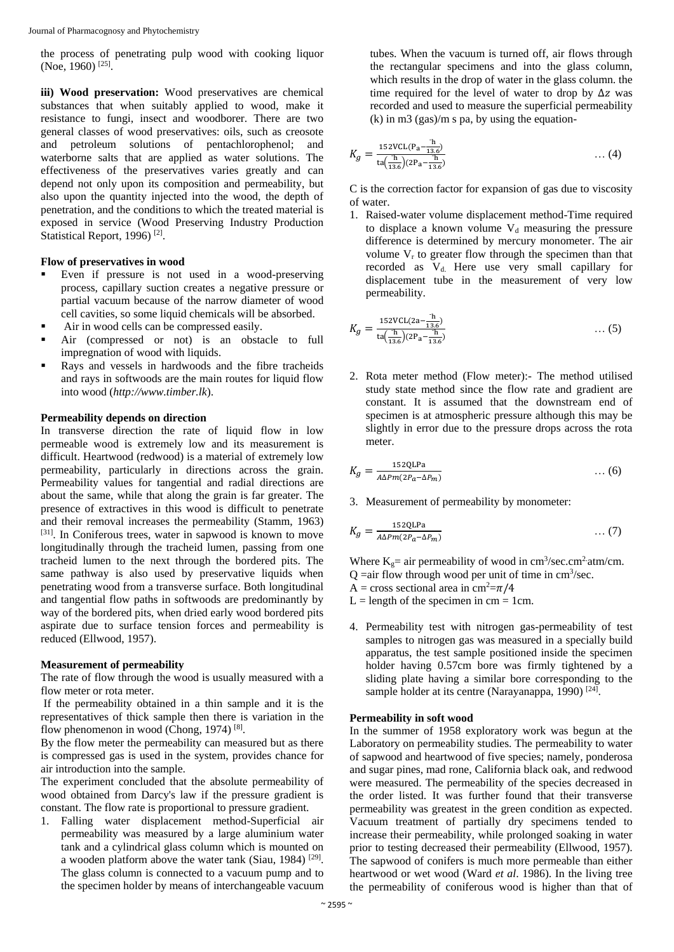the process of penetrating pulp wood with cooking liquor (Noe, 1960)<sup>[25]</sup>.

**iii) Wood preservation:** Wood preservatives are chemical substances that when suitably applied to wood, make it resistance to fungi, insect and woodborer. There are two general classes of wood preservatives: oils, such as creosote and petroleum solutions of pentachlorophenol; and waterborne salts that are applied as water solutions. The effectiveness of the preservatives varies greatly and can depend not only upon its composition and permeability, but also upon the quantity injected into the wood, the depth of penetration, and the conditions to which the treated material is exposed in service (Wood Preserving Industry Production Statistical Report, 1996)<sup>[2]</sup>.

# **Flow of preservatives in wood**

- Even if pressure is not used in a wood-preserving process, capillary suction creates a negative pressure or partial vacuum because of the narrow diameter of wood cell cavities, so some liquid chemicals will be absorbed.
- Air in wood cells can be compressed easily.
- Air (compressed or not) is an obstacle to full impregnation of wood with liquids.
- Rays and vessels in hardwoods and the fibre tracheids and rays in softwoods are the main routes for liquid flow into wood (*http://www.timber.lk*).

# **Permeability depends on direction**

In transverse direction the rate of liquid flow in low permeable wood is extremely low and its measurement is difficult. Heartwood (redwood) is a material of extremely low permeability, particularly in directions across the grain. Permeability values for tangential and radial directions are about the same, while that along the grain is far greater. The presence of extractives in this wood is difficult to penetrate and their removal increases the permeability (Stamm, 1963) [31]. In Coniferous trees, water in sapwood is known to move longitudinally through the tracheid lumen, passing from one tracheid lumen to the next through the bordered pits. The same pathway is also used by preservative liquids when penetrating wood from a transverse surface. Both longitudinal and tangential flow paths in softwoods are predominantly by way of the bordered pits, when dried early wood bordered pits aspirate due to surface tension forces and permeability is reduced (Ellwood, 1957).

# **Measurement of permeability**

The rate of flow through the wood is usually measured with a flow meter or rota meter.

If the permeability obtained in a thin sample and it is the representatives of thick sample then there is variation in the flow phenomenon in wood (Chong, 1974)<sup>[8]</sup>.

By the flow meter the permeability can measured but as there is compressed gas is used in the system, provides chance for air introduction into the sample.

The experiment concluded that the absolute permeability of wood obtained from Darcy's law if the pressure gradient is constant. The flow rate is proportional to pressure gradient.

1. Falling water displacement method-Superficial air permeability was measured by a large aluminium water tank and a cylindrical glass column which is mounted on a wooden platform above the water tank (Siau, 1984)<sup>[29]</sup>. The glass column is connected to a vacuum pump and to the specimen holder by means of interchangeable vacuum

tubes. When the vacuum is turned off, air flows through the rectangular specimens and into the glass column, which results in the drop of water in the glass column. the time required for the level of water to drop by  $\Delta z$  was recorded and used to measure the superficial permeability  $(k)$  in m3 (gas)/m s pa, by using the equation-

$$
K_g = \frac{152 \text{VCL} (P_a - \frac{h}{13.6})}{\text{ta} (\frac{h}{13.6}) (2P_a - \frac{h}{13.6})} \tag{4}
$$

C is the correction factor for expansion of gas due to viscosity of water.

1. Raised-water volume displacement method-Time required to displace a known volume  $V_d$  measuring the pressure difference is determined by mercury monometer. The air volume  $V_r$  to greater flow through the specimen than that recorded as  $V_d$ . Here use very small capillary for displacement tube in the measurement of very low permeability.

$$
K_g = \frac{152 \text{VCL}(2\text{a} - \frac{\text{h}}{13.6})}{\text{ta}(\frac{\text{h}}{13.6})(2\text{p}_\text{a} - \frac{\text{h}}{13.6})} \tag{5}
$$

2. Rota meter method (Flow meter):- The method utilised study state method since the flow rate and gradient are constant. It is assumed that the downstream end of specimen is at atmospheric pressure although this may be slightly in error due to the pressure drops across the rota meter.

$$
K_g = \frac{152QLPa}{A\Delta P m (2P_a - \Delta P_m)} \qquad \qquad \dots (6)
$$

3. Measurement of permeability by monometer:

$$
K_g = \frac{152Q\text{LPa}}{A\Delta P m (2P_a - \Delta P_m)} \tag{7}
$$

Where  $K_g$  = air permeability of wood in cm<sup>3</sup>/sec.cm<sup>2</sup> atm/cm.  $Q =$ air flow through wood per unit of time in cm<sup>3</sup>/sec. A = cross sectional area in cm<sup>2</sup>= $\pi$ /4

 $L =$  length of the specimen in cm = 1cm.

4. Permeability test with nitrogen gas-permeability of test samples to nitrogen gas was measured in a specially build apparatus, the test sample positioned inside the specimen holder having 0.57cm bore was firmly tightened by a sliding plate having a similar bore corresponding to the sample holder at its centre (Narayanappa, 1990)<sup>[24]</sup>.

# **Permeability in soft wood**

In the summer of 1958 exploratory work was begun at the Laboratory on permeability studies. The permeability to water of sapwood and heartwood of five species; namely, ponderosa and sugar pines, mad rone, California black oak, and redwood were measured. The permeability of the species decreased in the order listed. It was further found that their transverse permeability was greatest in the green condition as expected. Vacuum treatment of partially dry specimens tended to increase their permeability, while prolonged soaking in water prior to testing decreased their permeability (Ellwood, 1957). The sapwood of conifers is much more permeable than either heartwood or wet wood (Ward *et al*. 1986). In the living tree the permeability of coniferous wood is higher than that of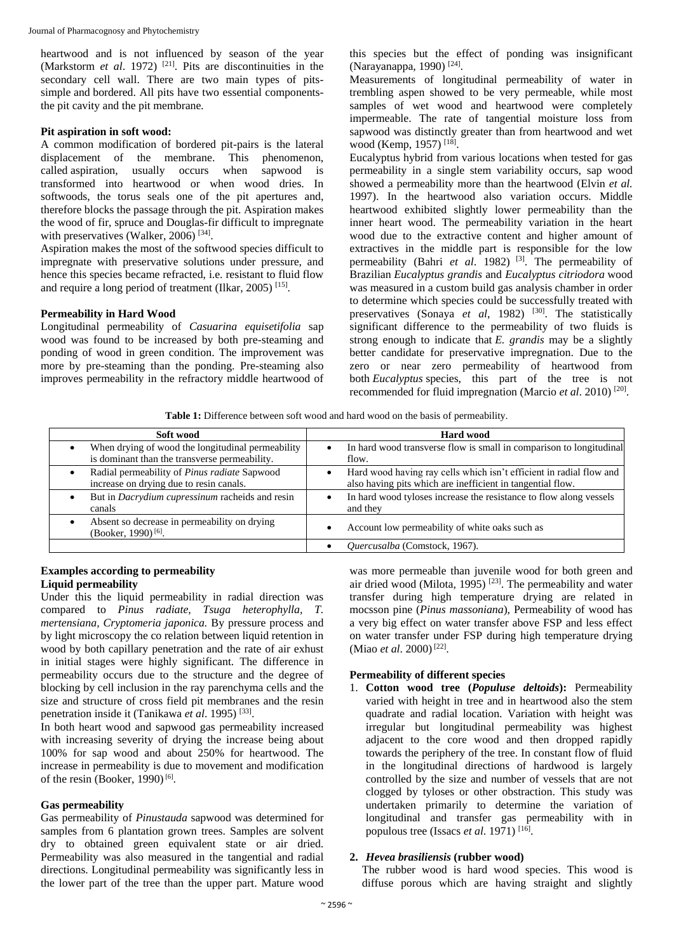heartwood and is not influenced by season of the year (Markstorm *et al*. 1972) [21] . Pits are discontinuities in the secondary cell wall. There are two main types of pitssimple and bordered. All pits have two essential componentsthe pit cavity and the pit membrane*.*

# **Pit aspiration in soft wood:**

A common modification of bordered pit-pairs is the lateral displacement of the membrane. This phenomenon, called aspiration, usually occurs when sapwood is transformed into heartwood or when wood dries. In softwoods, the torus seals one of the pit apertures and, therefore blocks the passage through the pit. Aspiration makes the wood of fir, spruce and Douglas-fir difficult to impregnate with preservatives (Walker, 2006)<sup>[34]</sup>.

Aspiration makes the most of the softwood species difficult to impregnate with preservative solutions under pressure, and hence this species became refracted, i.e. resistant to fluid flow and require a long period of treatment (Ilkar, 2005)<sup>[15]</sup>.

# **Permeability in Hard Wood**

Longitudinal permeability of *Casuarina equisetifolia* sap wood was found to be increased by both pre-steaming and ponding of wood in green condition. The improvement was more by pre-steaming than the ponding. Pre-steaming also improves permeability in the refractory middle heartwood of

this species but the effect of ponding was insignificant (Narayanappa, 1990) [24] .

Measurements of longitudinal permeability of water in trembling aspen showed to be very permeable, while most samples of wet wood and heartwood were completely impermeable. The rate of tangential moisture loss from sapwood was distinctly greater than from heartwood and wet wood (Kemp, 1957)<sup>[18]</sup>.

Eucalyptus hybrid from various locations when tested for gas permeability in a single stem variability occurs, sap wood showed a permeability more than the heartwood (Elvin *et al.* 1997). In the heartwood also variation occurs. Middle heartwood exhibited slightly lower permeability than the inner heart wood. The permeability variation in the heart wood due to the extractive content and higher amount of extractives in the middle part is responsible for the low permeability (Bahri et al. 1982)<sup>[3]</sup>. The permeability of Brazilian *Eucalyptus grandis* and *Eucalyptus citriodora* wood was measured in a custom build gas analysis chamber in order to determine which species could be successfully treated with preservatives (Sonaya et al, 1982)<sup>[30]</sup>. The statistically significant difference to the permeability of two fluids is strong enough to indicate that *E. grandis* may be a slightly better candidate for preservative impregnation. Due to the zero or near zero permeability of heartwood from both *Eucalyptus* species, this part of the tree is not recommended for fluid impregnation (Marcio et al. 2010)<sup>[20]</sup>.

**Table 1:** Difference between soft wood and hard wood on the basis of permeability.

| Soft wood                                                                       | <b>Hard wood</b>                                                    |  |
|---------------------------------------------------------------------------------|---------------------------------------------------------------------|--|
| When drying of wood the longitudinal permeability                               | In hard wood transverse flow is small in comparison to longitudinal |  |
| is dominant than the transverse permeability.                                   | flow.                                                               |  |
| Radial permeability of <i>Pinus radiate</i> Sapwood                             | Hard wood having ray cells which isn't efficient in radial flow and |  |
| increase on drying due to resin canals.                                         | also having pits which are inefficient in tangential flow.          |  |
| But in <i>Dacrydium cupressinum</i> racheids and resin                          | In hard wood tyloses increase the resistance to flow along vessels  |  |
| canals                                                                          | and they                                                            |  |
| Absent so decrease in permeability on drying<br>(Booker, 1990) <sup>[6]</sup> . | Account low permeability of white oaks such as                      |  |
|                                                                                 | Quercusalba (Comstock, 1967).                                       |  |

#### **Examples according to permeability Liquid permeability**

Under this the liquid permeability in radial direction was compared to *Pinus radiate, Tsuga heterophylla, T. mertensiana, Cryptomeria japonica.* By pressure process and by light microscopy the co relation between liquid retention in wood by both capillary penetration and the rate of air exhust in initial stages were highly significant. The difference in permeability occurs due to the structure and the degree of blocking by cell inclusion in the ray parenchyma cells and the size and structure of cross field pit membranes and the resin penetration inside it (Tanikawa et al. 1995)<sup>[33]</sup>.

In both heart wood and sapwood gas permeability increased with increasing severity of drying the increase being about 100% for sap wood and about 250% for heartwood. The increase in permeability is due to movement and modification of the resin (Booker, 1990)<sup>[6]</sup>.

# **Gas permeability**

Gas permeability of *Pinustauda* sapwood was determined for samples from 6 plantation grown trees. Samples are solvent dry to obtained green equivalent state or air dried. Permeability was also measured in the tangential and radial directions. Longitudinal permeability was significantly less in the lower part of the tree than the upper part. Mature wood

was more permeable than juvenile wood for both green and air dried wood (Milota, 1995)<sup>[23]</sup>. The permeability and water transfer during high temperature drying are related in mocsson pine (*Pinus massoniana*), Permeability of wood has a very big effect on water transfer above FSP and less effect on water transfer under FSP during high temperature drying (Miao et al. 2000)<sup>[22]</sup>.

# **Permeability of different species**

1. **Cotton wood tree (***Populuse deltoids***):** Permeability varied with height in tree and in heartwood also the stem quadrate and radial location. Variation with height was irregular but longitudinal permeability was highest adjacent to the core wood and then dropped rapidly towards the periphery of the tree. In constant flow of fluid in the longitudinal directions of hardwood is largely controlled by the size and number of vessels that are not clogged by tyloses or other obstraction. This study was undertaken primarily to determine the variation of longitudinal and transfer gas permeability with in populous tree (Issacs *et al.* 1971)<sup>[16]</sup>.

# **2.** *Hevea brasiliensis* **(rubber wood)**

The rubber wood is hard wood species. This wood is diffuse porous which are having straight and slightly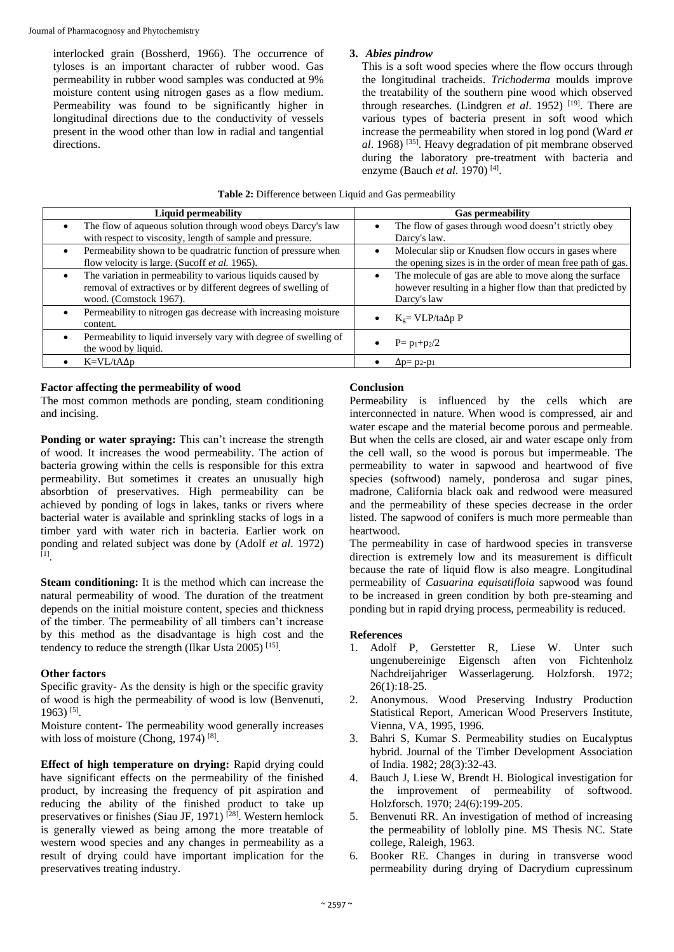interlocked grain (Bossherd, 1966). The occurrence of tyloses is an important character of rubber wood. Gas permeability in rubber wood samples was conducted at 9% moisture content using nitrogen gases as a flow medium. Permeability was found to be significantly higher in longitudinal directions due to the conductivity of vessels present in the wood other than low in radial and tangential directions.

# **3.** *Abies pindrow*

This is a soft wood species where the flow occurs through the longitudinal tracheids. *Trichoderma* moulds improve the treatability of the southern pine wood which observed through researches. (Lindgren *et al.* 1952)<sup>[19]</sup>. There are various types of bacteria present in soft wood which increase the permeability when stored in log pond (Ward *et al*. 1968) [35]. Heavy degradation of pit membrane observed during the laboratory pre-treatment with bacteria and enzyme (Bauch *et al.* 1970)<sup>[4]</sup>.

| Table 2: Difference between Liquid and Gas permeability |  |  |
|---------------------------------------------------------|--|--|
|---------------------------------------------------------|--|--|

| <b>Liquid permeability</b>                                                                                                                            | <b>Gas permeability</b>                                                                                                            |
|-------------------------------------------------------------------------------------------------------------------------------------------------------|------------------------------------------------------------------------------------------------------------------------------------|
| The flow of aqueous solution through wood obeys Darcy's law<br>with respect to viscosity, length of sample and pressure.                              | The flow of gases through wood doesn't strictly obey<br>$\bullet$<br>Darcy's law.                                                  |
| Permeability shown to be quadratric function of pressure when<br>flow velocity is large. (Sucoff et al. 1965).                                        | Molecular slip or Knudsen flow occurs in gases where<br>$\bullet$<br>the opening sizes is in the order of mean free path of gas.   |
| The variation in permeability to various liquids caused by<br>removal of extractives or by different degrees of swelling of<br>wood. (Comstock 1967). | The molecule of gas are able to move along the surface<br>however resulting in a higher flow than that predicted by<br>Darcy's law |
| Permeability to nitrogen gas decrease with increasing moisture<br>content.                                                                            | $K_g = VLP/ta\Delta p P$                                                                                                           |
| Permeability to liquid inversely vary with degree of swelling of<br>the wood by liquid.                                                               | $P = p_1+p_2/2$                                                                                                                    |
| $K = V L / t A \Delta p$                                                                                                                              | $\Delta p = p_2-p_1$                                                                                                               |

# **Factor affecting the permeability of wood**

The most common methods are ponding, steam conditioning and incising.

**Ponding or water spraying:** This can't increase the strength of wood. It increases the wood permeability. The action of bacteria growing within the cells is responsible for this extra permeability. But sometimes it creates an unusually high absorbtion of preservatives. High permeability can be achieved by ponding of logs in lakes, tanks or rivers where bacterial water is available and sprinkling stacks of logs in a timber yard with water rich in bacteria. Earlier work on ponding and related subject was done by (Adolf *et al.* 1972)<br><sup>[1]</sup>.

**Steam conditioning:** It is the method which can increase the natural permeability of wood. The duration of the treatment depends on the initial moisture content, species and thickness of the timber. The permeability of all timbers can't increase by this method as the disadvantage is high cost and the tendency to reduce the strength (Ilkar Usta 2005)<sup>[15]</sup>.

# **Other factors**

Specific gravity- As the density is high or the specific gravity of wood is high the permeability of wood is low (Benvenuti, 1963) [5] .

Moisture content- The permeability wood generally increases with loss of moisture (Chong, 1974)  $[8]$ .

**Effect of high temperature on drying:** Rapid drying could have significant effects on the permeability of the finished product, by increasing the frequency of pit aspiration and reducing the ability of the finished product to take up preservatives or finishes (Siau JF, 1971)<sup>[28]</sup>. Western hemlock is generally viewed as being among the more treatable of western wood species and any changes in permeability as a result of drying could have important implication for the preservatives treating industry.

# **Conclusion**

Permeability is influenced by the cells which are interconnected in nature. When wood is compressed, air and water escape and the material become porous and permeable. But when the cells are closed, air and water escape only from the cell wall, so the wood is porous but impermeable. The permeability to water in sapwood and heartwood of five species (softwood) namely, ponderosa and sugar pines, madrone, California black oak and redwood were measured and the permeability of these species decrease in the order listed. The sapwood of conifers is much more permeable than heartwood.

The permeability in case of hardwood species in transverse direction is extremely low and its measurement is difficult because the rate of liquid flow is also meagre. Longitudinal permeability of *Casuarina equisatifloia* sapwood was found to be increased in green condition by both pre-steaming and ponding but in rapid drying process, permeability is reduced.

# **References**

- 1. Adolf P, Gerstetter R, Liese W. Unter such ungenubereinige Eigensch aften von Fichtenholz Nachdreijahriger Wasserlagerung*.* Holzforsh. 1972;  $26(1):18-25.$
- 2. Anonymous. Wood Preserving Industry Production Statistical Report, American Wood Preservers Institute, Vienna, VA, 1995, 1996.
- 3. Bahri S, Kumar S. Permeability studies on Eucalyptus hybrid. Journal of the Timber Development Association of India. 1982; 28(3):32-43.
- 4. Bauch J, Liese W, Brendt H. Biological investigation for the improvement of permeability of softwood. Holzforsch. 1970; 24(6):199-205.
- 5. Benvenuti RR. An investigation of method of increasing the permeability of loblolly pine. MS Thesis NC. State college, Raleigh, 1963.
- 6. Booker RE. Changes in during in transverse wood permeability during drying of Dacrydium cupressinum